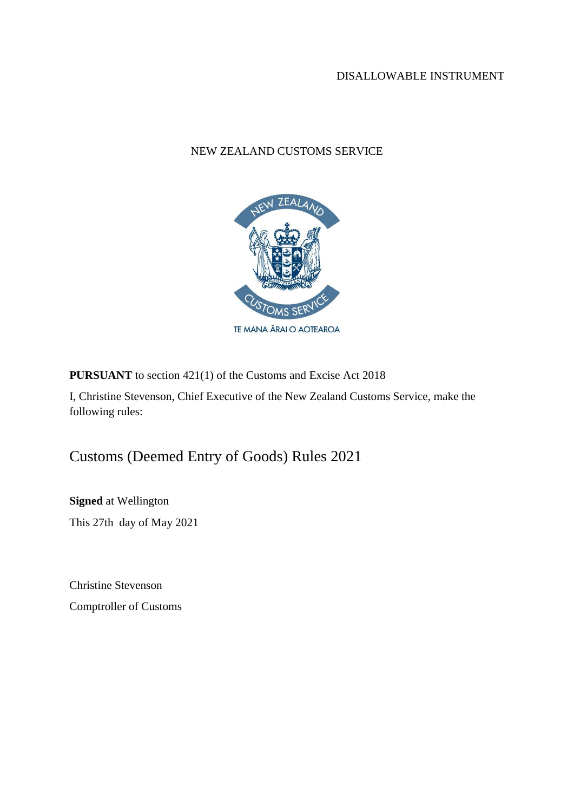### NEW ZEALAND CUSTOMS SERVICE



**PURSUANT** to section 421(1) of the Customs and Excise Act 2018

I, Christine Stevenson, Chief Executive of the New Zealand Customs Service, make the following rules:

Customs (Deemed Entry of Goods) Rules 2021

**Signed** at Wellington This 27th day of May 2021

Christine Stevenson Comptroller of Customs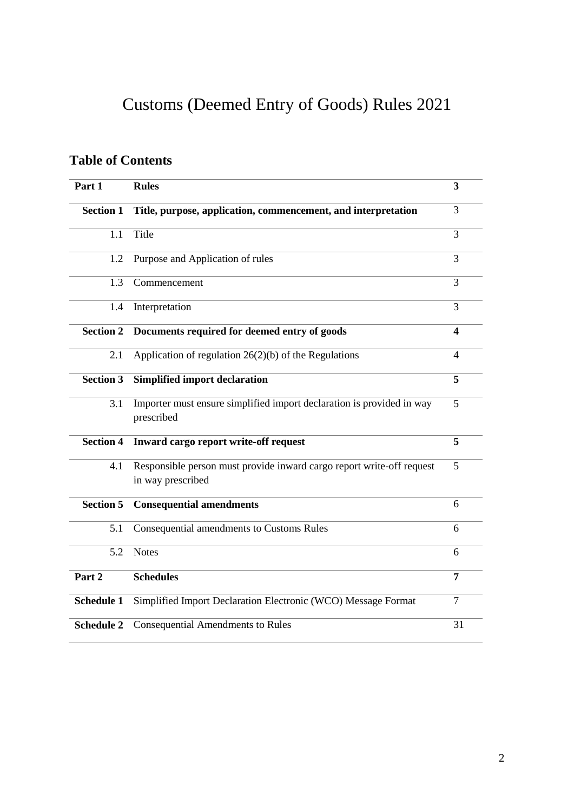# Customs (Deemed Entry of Goods) Rules 2021

# **Table of Contents**

| Part 1            | <b>Rules</b>                                                                               | 3              |
|-------------------|--------------------------------------------------------------------------------------------|----------------|
| <b>Section 1</b>  | Title, purpose, application, commencement, and interpretation                              | 3              |
| 1.1               | Title                                                                                      | 3              |
| 1.2               | Purpose and Application of rules                                                           | 3              |
| 1.3               | Commencement                                                                               | 3              |
| 1.4               | Interpretation                                                                             | 3              |
| <b>Section 2</b>  | Documents required for deemed entry of goods                                               | 4              |
| 2.1               | Application of regulation $26(2)(b)$ of the Regulations                                    | 4              |
| <b>Section 3</b>  | <b>Simplified import declaration</b>                                                       | 5              |
| 3.1               | Importer must ensure simplified import declaration is provided in way<br>prescribed        | 5              |
| <b>Section 4</b>  | Inward cargo report write-off request                                                      | 5              |
| 4.1               | Responsible person must provide inward cargo report write-off request<br>in way prescribed | 5              |
| <b>Section 5</b>  | <b>Consequential amendments</b>                                                            | 6              |
| 5.1               | <b>Consequential amendments to Customs Rules</b>                                           | 6              |
| 5.2               | <b>Notes</b>                                                                               | 6              |
| Part 2            | <b>Schedules</b>                                                                           | 7              |
| <b>Schedule 1</b> | Simplified Import Declaration Electronic (WCO) Message Format                              | $\overline{7}$ |
| <b>Schedule 2</b> | <b>Consequential Amendments to Rules</b>                                                   | 31             |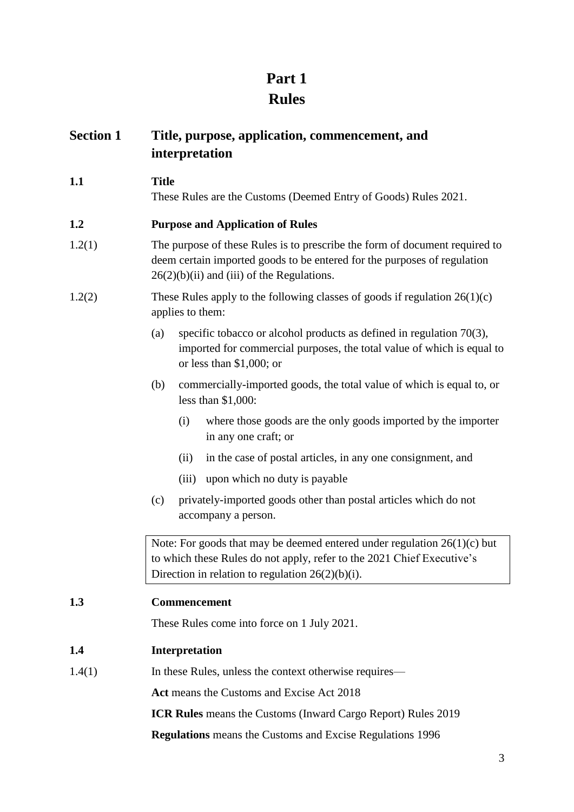# **Part 1 Rules**

# **Section 1 Title, purpose, application, commencement, and interpretation**

### **1.1 Title**

These Rules are the Customs (Deemed Entry of Goods) Rules 2021.

### **1.2 Purpose and Application of Rules**

1.2(1) The purpose of these Rules is to prescribe the form of document required to deem certain imported goods to be entered for the purposes of regulation  $26(2)(b)(ii)$  and (iii) of the Regulations.

### 1.2(2) These Rules apply to the following classes of goods if regulation 26(1)(c) applies to them:

- (a) specific tobacco or alcohol products as defined in regulation 70(3), imported for commercial purposes, the total value of which is equal to or less than \$1,000; or
- (b) commercially-imported goods, the total value of which is equal to, or less than \$1,000:
	- (i) where those goods are the only goods imported by the importer in any one craft; or
	- (ii) in the case of postal articles, in any one consignment, and
	- (iii) upon which no duty is payable
- (c) privately-imported goods other than postal articles which do not accompany a person.

Note: For goods that may be deemed entered under regulation  $26(1)(c)$  but to which these Rules do not apply, refer to the 2021 Chief Executive's Direction in relation to regulation  $26(2)(b)(i)$ .

### **1.3 Commencement**

These Rules come into force on 1 July 2021.

### **1.4 Interpretation**

1.4(1) In these Rules, unless the context otherwise requires—

**Act** means the Customs and Excise Act 2018

**ICR Rules** means the Customs (Inward Cargo Report) Rules 2019

**Regulations** means the Customs and Excise Regulations 1996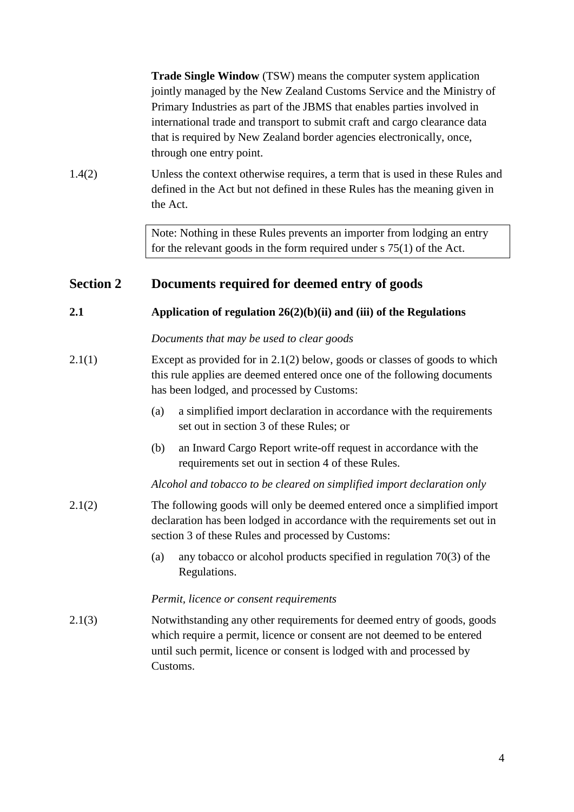|                  | <b>Trade Single Window</b> (TSW) means the computer system application<br>jointly managed by the New Zealand Customs Service and the Ministry of<br>Primary Industries as part of the JBMS that enables parties involved in<br>international trade and transport to submit craft and cargo clearance data<br>that is required by New Zealand border agencies electronically, once,<br>through one entry point. |  |
|------------------|----------------------------------------------------------------------------------------------------------------------------------------------------------------------------------------------------------------------------------------------------------------------------------------------------------------------------------------------------------------------------------------------------------------|--|
| 1.4(2)           | Unless the context otherwise requires, a term that is used in these Rules and<br>defined in the Act but not defined in these Rules has the meaning given in<br>the Act.                                                                                                                                                                                                                                        |  |
|                  | Note: Nothing in these Rules prevents an importer from lodging an entry<br>for the relevant goods in the form required under $s$ 75(1) of the Act.                                                                                                                                                                                                                                                             |  |
| <b>Section 2</b> | Documents required for deemed entry of goods                                                                                                                                                                                                                                                                                                                                                                   |  |
| 2.1              | Application of regulation $26(2)(b)(ii)$ and (iii) of the Regulations                                                                                                                                                                                                                                                                                                                                          |  |
|                  | Documents that may be used to clear goods                                                                                                                                                                                                                                                                                                                                                                      |  |
| 2.1(1)           | Except as provided for in $2.1(2)$ below, goods or classes of goods to which<br>this rule applies are deemed entered once one of the following documents<br>has been lodged, and processed by Customs:                                                                                                                                                                                                         |  |
|                  | a simplified import declaration in accordance with the requirements<br>(a)<br>set out in section 3 of these Rules; or                                                                                                                                                                                                                                                                                          |  |
|                  | (b)<br>an Inward Cargo Report write-off request in accordance with the<br>requirements set out in section 4 of these Rules.                                                                                                                                                                                                                                                                                    |  |
|                  | Alcohol and tobacco to be cleared on simplified import declaration only                                                                                                                                                                                                                                                                                                                                        |  |
| 2.1(2)           | The following goods will only be deemed entered once a simplified import<br>declaration has been lodged in accordance with the requirements set out in<br>section 3 of these Rules and processed by Customs:                                                                                                                                                                                                   |  |
|                  | any tobacco or alcohol products specified in regulation $70(3)$ of the<br>(a)<br>Regulations.                                                                                                                                                                                                                                                                                                                  |  |
|                  | Permit, licence or consent requirements                                                                                                                                                                                                                                                                                                                                                                        |  |
| 2.1(3)           | Notwithstanding any other requirements for deemed entry of goods, goods<br>which require a permit, licence or consent are not deemed to be entered<br>until such permit, licence or consent is lodged with and processed by<br>Customs.                                                                                                                                                                        |  |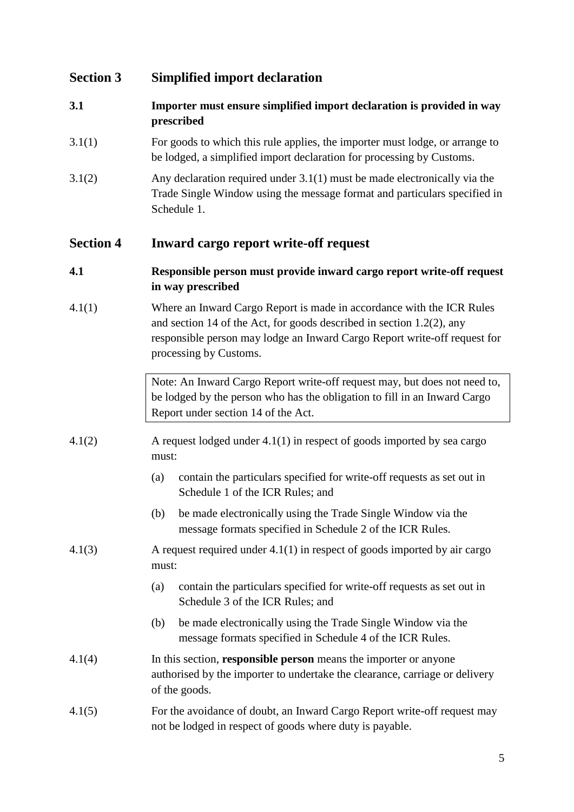### **Section 3 Simplified import declaration**

| 3.1 | Importer must ensure simplified import declaration is provided in way |
|-----|-----------------------------------------------------------------------|
|     | prescribed                                                            |

- <span id="page-4-0"></span>3.1(1) For goods to which this rule applies, the importer must lodge, or arrange to be lodged, a simplified import declaration for processing by Customs.
- 3.1(2) Any declaration required under [3.1\(1\)](#page-4-0) must be made electronically via the Trade Single Window using the message format and particulars specified in Schedule 1.

### **Section 4 Inward cargo report write-off request**

### **4.1 Responsible person must provide inward cargo report write-off request in way prescribed**

<span id="page-4-1"></span>4.1(1) Where an Inward Cargo Report is made in accordance with the ICR Rules and section 14 of the Act, for goods described in section 1.2(2), any responsible person may lodge an Inward Cargo Report write-off request for processing by Customs.

> Note: An Inward Cargo Report write-off request may, but does not need to, be lodged by the person who has the obligation to fill in an Inward Cargo Report under section 14 of the Act.

- 4.1(2) A request lodged under [4.1\(1\)](#page-4-1) in respect of goods imported by sea cargo must:
	- (a) contain the particulars specified for write-off requests as set out in Schedule 1 of the ICR Rules; and
	- (b) be made electronically using the Trade Single Window via the message formats specified in Schedule 2 of the ICR Rules.

### 4.1(3) A request required under [4.1\(1\)](#page-4-1) in respect of goods imported by air cargo must:

- (a) contain the particulars specified for write-off requests as set out in Schedule 3 of the ICR Rules; and
- (b) be made electronically using the Trade Single Window via the message formats specified in Schedule 4 of the ICR Rules.
- 4.1(4) In this section, **responsible person** means the importer or anyone authorised by the importer to undertake the clearance, carriage or delivery of the goods.
- 4.1(5) For the avoidance of doubt, an Inward Cargo Report write-off request may not be lodged in respect of goods where duty is payable.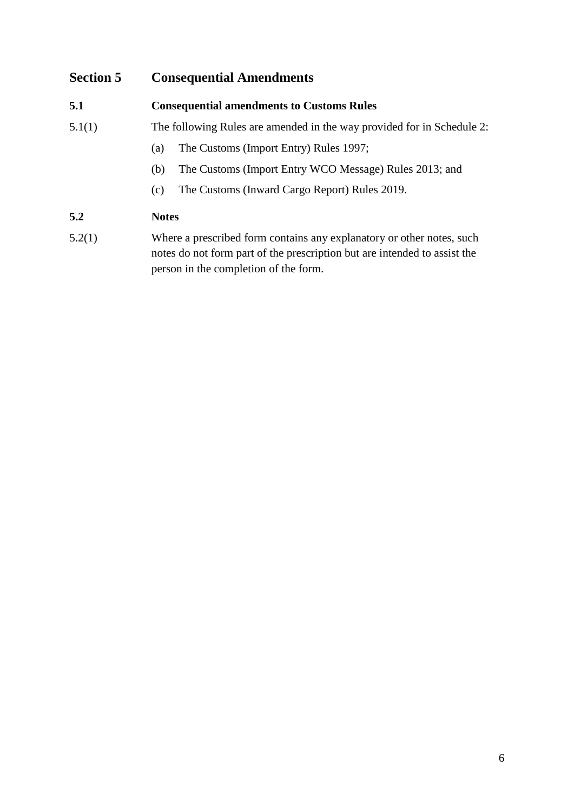## **Section 5 Consequential Amendments**

### **5.1 Consequential amendments to Customs Rules**

5.1(1) The following Rules are amended in the way provided for in Schedule 2:

- (a) The Customs (Import Entry) Rules 1997;
- (b) The Customs (Import Entry WCO Message) Rules 2013; and
- (c) The Customs (Inward Cargo Report) Rules 2019.

### **5.2 Notes**

5.2(1) Where a prescribed form contains any explanatory or other notes, such notes do not form part of the prescription but are intended to assist the person in the completion of the form.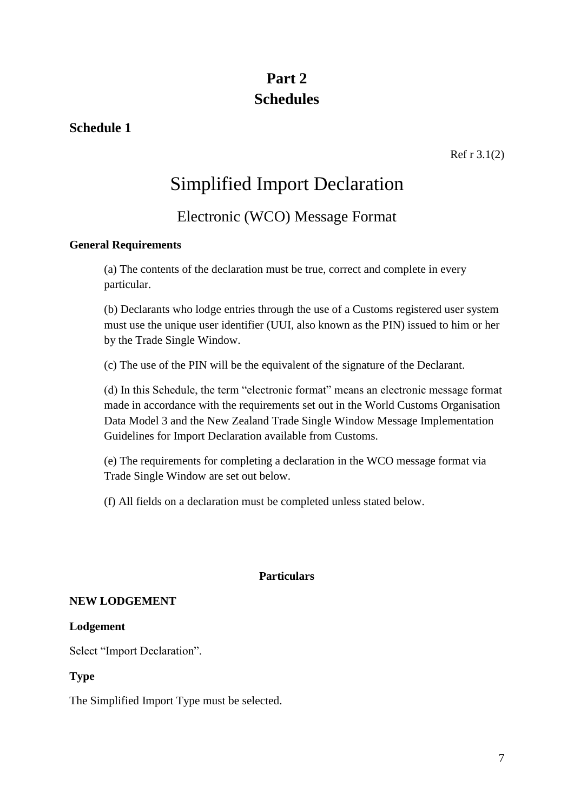# **Part 2 Schedules**

### **Schedule 1**

Ref r 3.1(2)

# Simplified Import Declaration

## Electronic (WCO) Message Format

#### **General Requirements**

(a) The contents of the declaration must be true, correct and complete in every particular.

(b) Declarants who lodge entries through the use of a Customs registered user system must use the unique user identifier (UUI, also known as the PIN) issued to him or her by the Trade Single Window.

(c) The use of the PIN will be the equivalent of the signature of the Declarant.

(d) In this Schedule, the term "electronic format" means an electronic message format made in accordance with the requirements set out in the World Customs Organisation Data Model 3 and the New Zealand Trade Single Window Message Implementation Guidelines for Import Declaration available from Customs.

(e) The requirements for completing a declaration in the WCO message format via Trade Single Window are set out below.

(f) All fields on a declaration must be completed unless stated below.

### **Particulars**

#### **NEW LODGEMENT**

#### **Lodgement**

Select "Import Declaration".

### **Type**

The Simplified Import Type must be selected.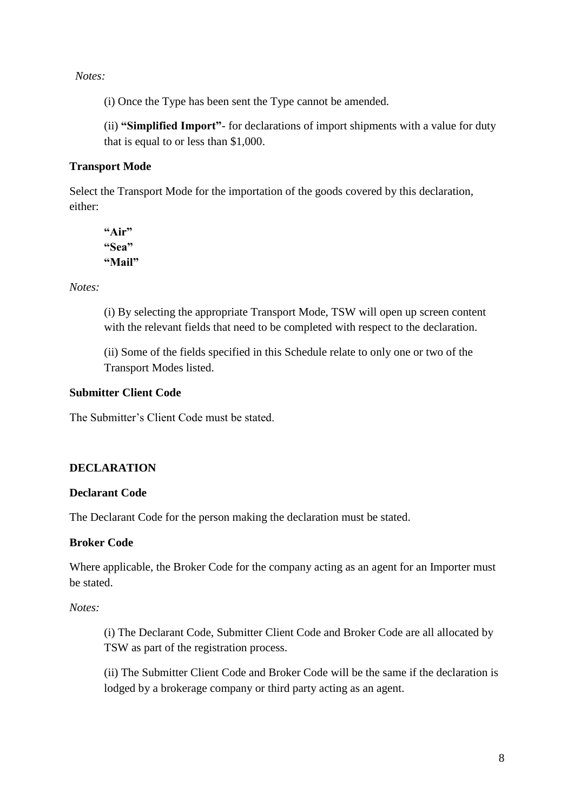*Notes:*

(i) Once the Type has been sent the Type cannot be amended.

(ii) **"Simplified Import"**- for declarations of import shipments with a value for duty that is equal to or less than \$1,000.

### **Transport Mode**

Select the Transport Mode for the importation of the goods covered by this declaration, either:

**"Air" "Sea" "Mail"**

*Notes:*

(i) By selecting the appropriate Transport Mode, TSW will open up screen content with the relevant fields that need to be completed with respect to the declaration.

(ii) Some of the fields specified in this Schedule relate to only one or two of the Transport Modes listed.

### **Submitter Client Code**

The Submitter's Client Code must be stated.

### **DECLARATION**

### **Declarant Code**

The Declarant Code for the person making the declaration must be stated.

### **Broker Code**

Where applicable, the Broker Code for the company acting as an agent for an Importer must be stated.

### *Notes:*

(i) The Declarant Code, Submitter Client Code and Broker Code are all allocated by TSW as part of the registration process.

(ii) The Submitter Client Code and Broker Code will be the same if the declaration is lodged by a brokerage company or third party acting as an agent.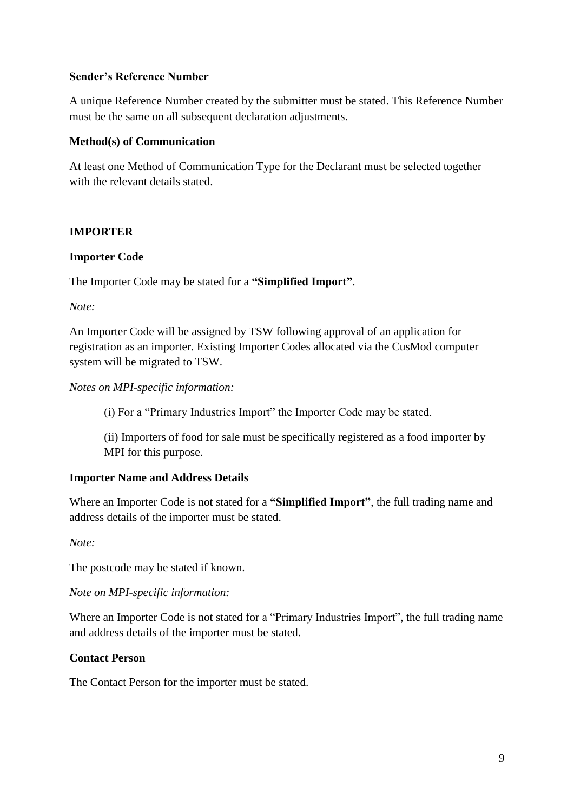### **Sender's Reference Number**

A unique Reference Number created by the submitter must be stated. This Reference Number must be the same on all subsequent declaration adjustments.

#### **Method(s) of Communication**

At least one Method of Communication Type for the Declarant must be selected together with the relevant details stated.

### **IMPORTER**

#### **Importer Code**

The Importer Code may be stated for a **"Simplified Import"**.

#### *Note:*

An Importer Code will be assigned by TSW following approval of an application for registration as an importer. Existing Importer Codes allocated via the CusMod computer system will be migrated to TSW.

#### *Notes on MPI-specific information:*

(i) For a "Primary Industries Import" the Importer Code may be stated.

(ii) Importers of food for sale must be specifically registered as a food importer by MPI for this purpose.

#### **Importer Name and Address Details**

Where an Importer Code is not stated for a **"Simplified Import"**, the full trading name and address details of the importer must be stated.

*Note:*

The postcode may be stated if known.

#### *Note on MPI-specific information:*

Where an Importer Code is not stated for a "Primary Industries Import", the full trading name and address details of the importer must be stated.

#### **Contact Person**

The Contact Person for the importer must be stated.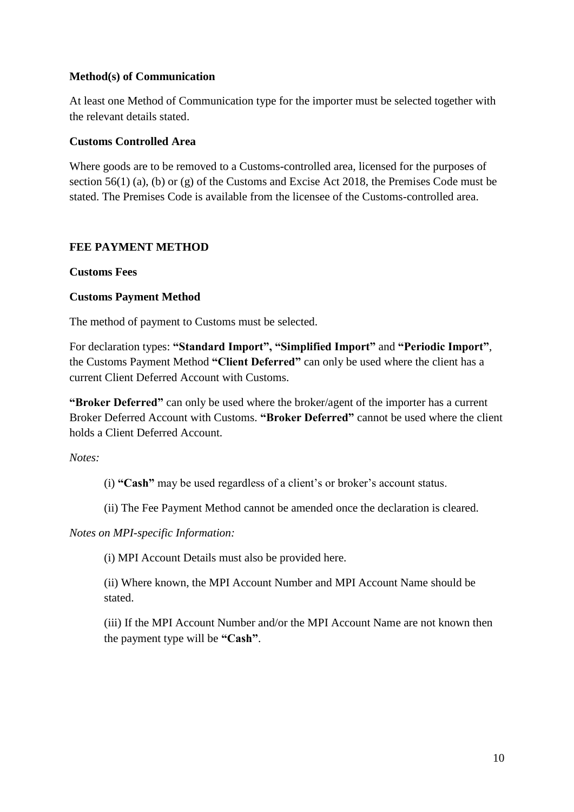### **Method(s) of Communication**

At least one Method of Communication type for the importer must be selected together with the relevant details stated.

### **Customs Controlled Area**

Where goods are to be removed to a Customs-controlled area, licensed for the purposes of section 56(1) (a), (b) or (g) of the Customs and Excise Act 2018, the Premises Code must be stated. The Premises Code is available from the licensee of the Customs-controlled area.

### **FEE PAYMENT METHOD**

### **Customs Fees**

### **Customs Payment Method**

The method of payment to Customs must be selected.

For declaration types: **"Standard Import", "Simplified Import"** and **"Periodic Import"**, the Customs Payment Method **"Client Deferred"** can only be used where the client has a current Client Deferred Account with Customs.

**"Broker Deferred"** can only be used where the broker/agent of the importer has a current Broker Deferred Account with Customs. **"Broker Deferred"** cannot be used where the client holds a Client Deferred Account.

*Notes:*

- (i) **"Cash"** may be used regardless of a client's or broker's account status.
- (ii) The Fee Payment Method cannot be amended once the declaration is cleared.

### *Notes on MPI-specific Information:*

(i) MPI Account Details must also be provided here.

(ii) Where known, the MPI Account Number and MPI Account Name should be stated.

(iii) If the MPI Account Number and/or the MPI Account Name are not known then the payment type will be **"Cash"**.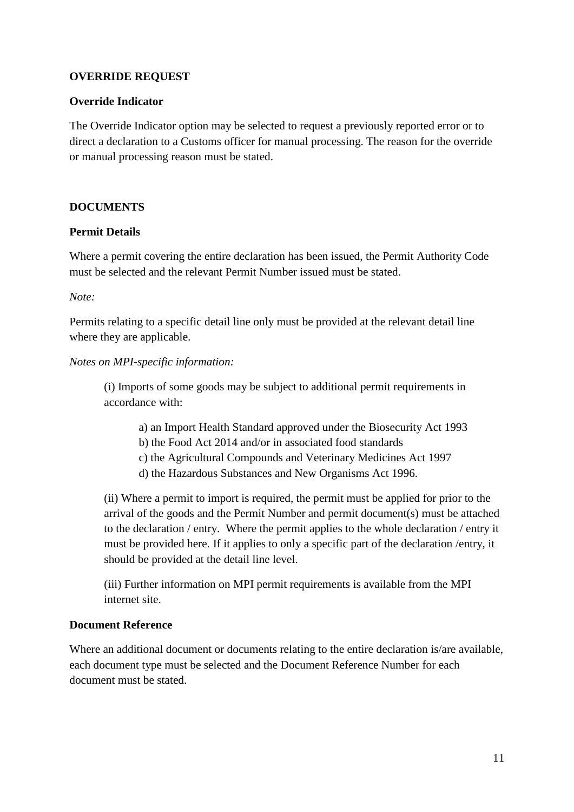### **OVERRIDE REQUEST**

#### **Override Indicator**

The Override Indicator option may be selected to request a previously reported error or to direct a declaration to a Customs officer for manual processing. The reason for the override or manual processing reason must be stated.

### **DOCUMENTS**

#### **Permit Details**

Where a permit covering the entire declaration has been issued, the Permit Authority Code must be selected and the relevant Permit Number issued must be stated.

#### *Note:*

Permits relating to a specific detail line only must be provided at the relevant detail line where they are applicable.

#### *Notes on MPI-specific information:*

(i) Imports of some goods may be subject to additional permit requirements in accordance with:

- a) an Import Health Standard approved under the Biosecurity Act 1993
- b) the Food Act 2014 and/or in associated food standards
- c) the Agricultural Compounds and Veterinary Medicines Act 1997
- d) the Hazardous Substances and New Organisms Act 1996.

(ii) Where a permit to import is required, the permit must be applied for prior to the arrival of the goods and the Permit Number and permit document(s) must be attached to the declaration / entry. Where the permit applies to the whole declaration / entry it must be provided here. If it applies to only a specific part of the declaration /entry, it should be provided at the detail line level.

(iii) Further information on MPI permit requirements is available from the MPI internet site.

#### **Document Reference**

Where an additional document or documents relating to the entire declaration is/are available, each document type must be selected and the Document Reference Number for each document must be stated.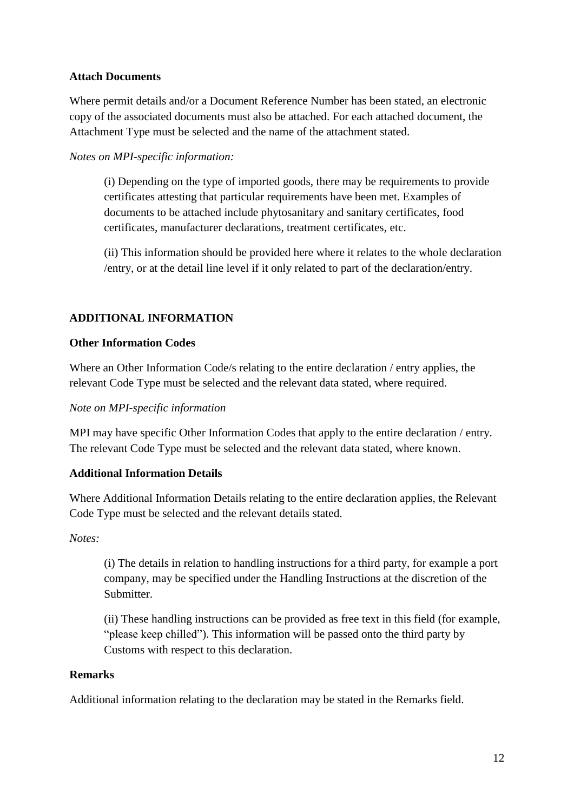#### **Attach Documents**

Where permit details and/or a Document Reference Number has been stated, an electronic copy of the associated documents must also be attached. For each attached document, the Attachment Type must be selected and the name of the attachment stated.

#### *Notes on MPI-specific information:*

(i) Depending on the type of imported goods, there may be requirements to provide certificates attesting that particular requirements have been met. Examples of documents to be attached include phytosanitary and sanitary certificates, food certificates, manufacturer declarations, treatment certificates, etc.

(ii) This information should be provided here where it relates to the whole declaration /entry, or at the detail line level if it only related to part of the declaration/entry.

### **ADDITIONAL INFORMATION**

#### **Other Information Codes**

Where an Other Information Code/s relating to the entire declaration / entry applies, the relevant Code Type must be selected and the relevant data stated, where required.

#### *Note on MPI-specific information*

MPI may have specific Other Information Codes that apply to the entire declaration / entry. The relevant Code Type must be selected and the relevant data stated, where known.

#### **Additional Information Details**

Where Additional Information Details relating to the entire declaration applies, the Relevant Code Type must be selected and the relevant details stated.

*Notes:*

(i) The details in relation to handling instructions for a third party, for example a port company, may be specified under the Handling Instructions at the discretion of the Submitter.

(ii) These handling instructions can be provided as free text in this field (for example, "please keep chilled"). This information will be passed onto the third party by Customs with respect to this declaration.

#### **Remarks**

Additional information relating to the declaration may be stated in the Remarks field.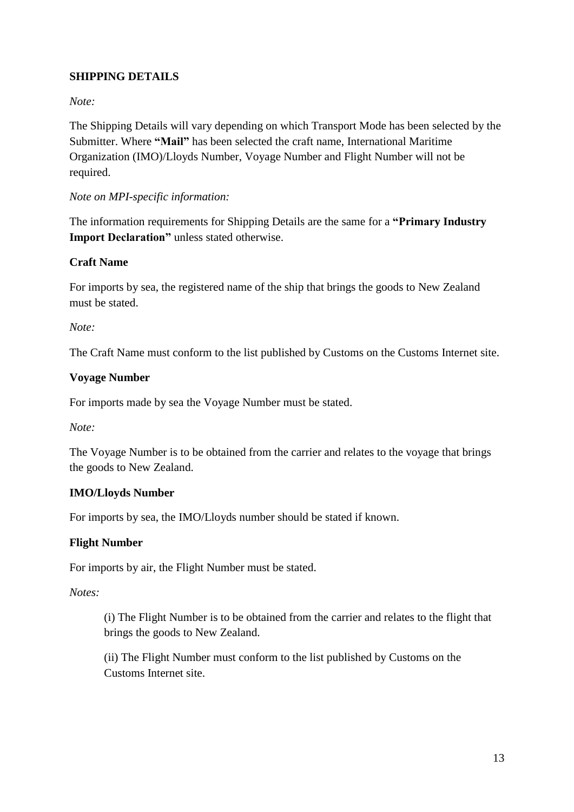### **SHIPPING DETAILS**

### *Note:*

The Shipping Details will vary depending on which Transport Mode has been selected by the Submitter. Where **"Mail"** has been selected the craft name, International Maritime Organization (IMO)/Lloyds Number, Voyage Number and Flight Number will not be required.

### *Note on MPI-specific information:*

The information requirements for Shipping Details are the same for a **"Primary Industry Import Declaration"** unless stated otherwise.

### **Craft Name**

For imports by sea, the registered name of the ship that brings the goods to New Zealand must be stated.

*Note:*

The Craft Name must conform to the list published by Customs on the Customs Internet site.

### **Voyage Number**

For imports made by sea the Voyage Number must be stated.

*Note:*

The Voyage Number is to be obtained from the carrier and relates to the voyage that brings the goods to New Zealand.

### **IMO/Lloyds Number**

For imports by sea, the IMO/Lloyds number should be stated if known.

### **Flight Number**

For imports by air, the Flight Number must be stated.

*Notes:*

(i) The Flight Number is to be obtained from the carrier and relates to the flight that brings the goods to New Zealand.

(ii) The Flight Number must conform to the list published by Customs on the Customs Internet site.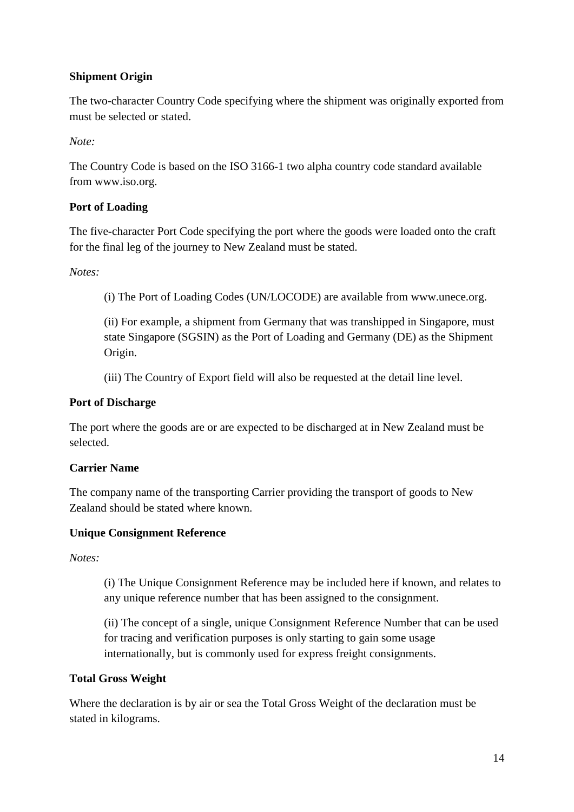### **Shipment Origin**

The two-character Country Code specifying where the shipment was originally exported from must be selected or stated.

*Note:*

The Country Code is based on the ISO 3166-1 two alpha country code standard available from www.iso.org.

### **Port of Loading**

The five-character Port Code specifying the port where the goods were loaded onto the craft for the final leg of the journey to New Zealand must be stated.

*Notes:*

(i) The Port of Loading Codes (UN/LOCODE) are available from www.unece.org.

(ii) For example, a shipment from Germany that was transhipped in Singapore, must state Singapore (SGSIN) as the Port of Loading and Germany (DE) as the Shipment Origin.

(iii) The Country of Export field will also be requested at the detail line level.

### **Port of Discharge**

The port where the goods are or are expected to be discharged at in New Zealand must be selected.

### **Carrier Name**

The company name of the transporting Carrier providing the transport of goods to New Zealand should be stated where known.

### **Unique Consignment Reference**

*Notes:*

(i) The Unique Consignment Reference may be included here if known, and relates to any unique reference number that has been assigned to the consignment.

(ii) The concept of a single, unique Consignment Reference Number that can be used for tracing and verification purposes is only starting to gain some usage internationally, but is commonly used for express freight consignments.

### **Total Gross Weight**

Where the declaration is by air or sea the Total Gross Weight of the declaration must be stated in kilograms.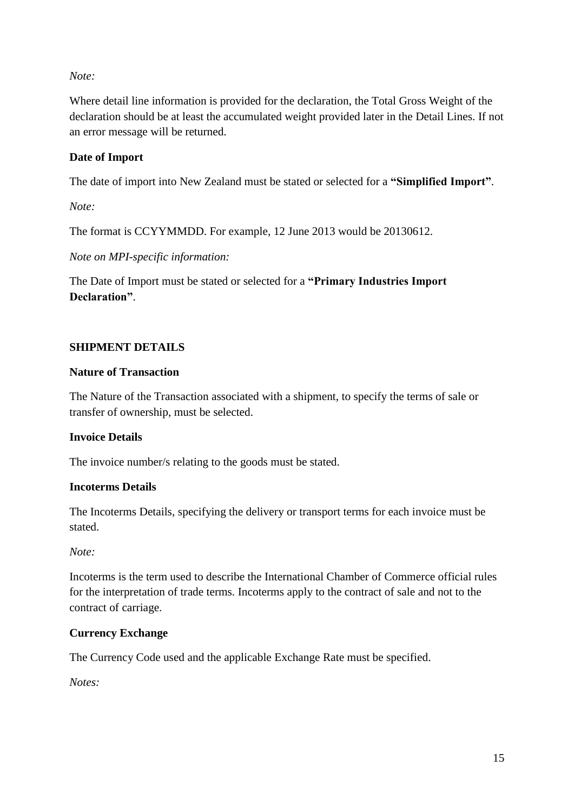#### *Note:*

Where detail line information is provided for the declaration, the Total Gross Weight of the declaration should be at least the accumulated weight provided later in the Detail Lines. If not an error message will be returned.

### **Date of Import**

The date of import into New Zealand must be stated or selected for a **"Simplified Import"**.

*Note:*

The format is CCYYMMDD. For example, 12 June 2013 would be 20130612.

*Note on MPI-specific information:*

The Date of Import must be stated or selected for a **"Primary Industries Import Declaration"**.

### **SHIPMENT DETAILS**

### **Nature of Transaction**

The Nature of the Transaction associated with a shipment, to specify the terms of sale or transfer of ownership, must be selected.

### **Invoice Details**

The invoice number/s relating to the goods must be stated.

### **Incoterms Details**

The Incoterms Details, specifying the delivery or transport terms for each invoice must be stated.

#### *Note:*

Incoterms is the term used to describe the International Chamber of Commerce official rules for the interpretation of trade terms. Incoterms apply to the contract of sale and not to the contract of carriage.

### **Currency Exchange**

The Currency Code used and the applicable Exchange Rate must be specified.

*Notes:*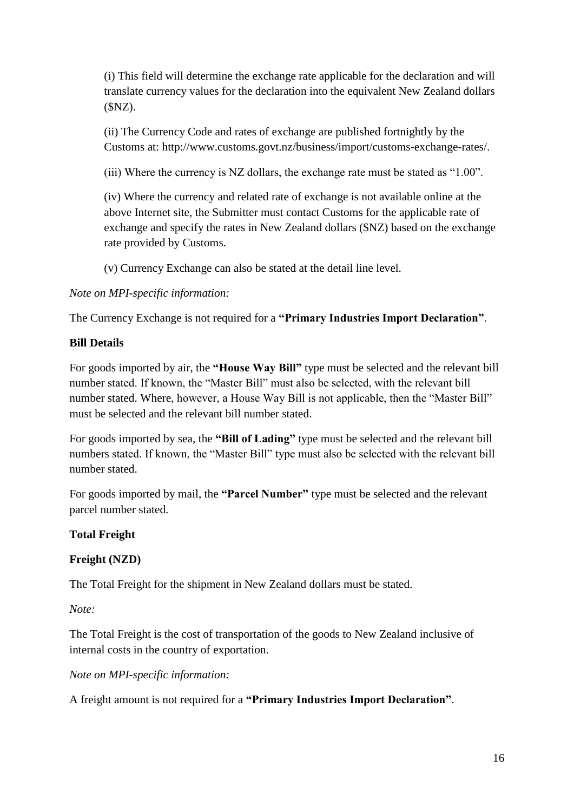(i) This field will determine the exchange rate applicable for the declaration and will translate currency values for the declaration into the equivalent New Zealand dollars (\$NZ).

(ii) The Currency Code and rates of exchange are published fortnightly by the Customs at: http://www.customs.govt.nz/business/import/customs-exchange-rates/.

(iii) Where the currency is NZ dollars, the exchange rate must be stated as "1.00".

(iv) Where the currency and related rate of exchange is not available online at the above Internet site, the Submitter must contact Customs for the applicable rate of exchange and specify the rates in New Zealand dollars (\$NZ) based on the exchange rate provided by Customs.

(v) Currency Exchange can also be stated at the detail line level.

*Note on MPI-specific information:*

The Currency Exchange is not required for a **"Primary Industries Import Declaration"**.

#### **Bill Details**

For goods imported by air, the **"House Way Bill"** type must be selected and the relevant bill number stated. If known, the "Master Bill" must also be selected, with the relevant bill number stated. Where, however, a House Way Bill is not applicable, then the "Master Bill" must be selected and the relevant bill number stated.

For goods imported by sea, the **"Bill of Lading"** type must be selected and the relevant bill numbers stated. If known, the "Master Bill" type must also be selected with the relevant bill number stated.

For goods imported by mail, the **"Parcel Number"** type must be selected and the relevant parcel number stated.

### **Total Freight**

### **Freight (NZD)**

The Total Freight for the shipment in New Zealand dollars must be stated.

*Note:*

The Total Freight is the cost of transportation of the goods to New Zealand inclusive of internal costs in the country of exportation.

*Note on MPI-specific information:*

A freight amount is not required for a **"Primary Industries Import Declaration"**.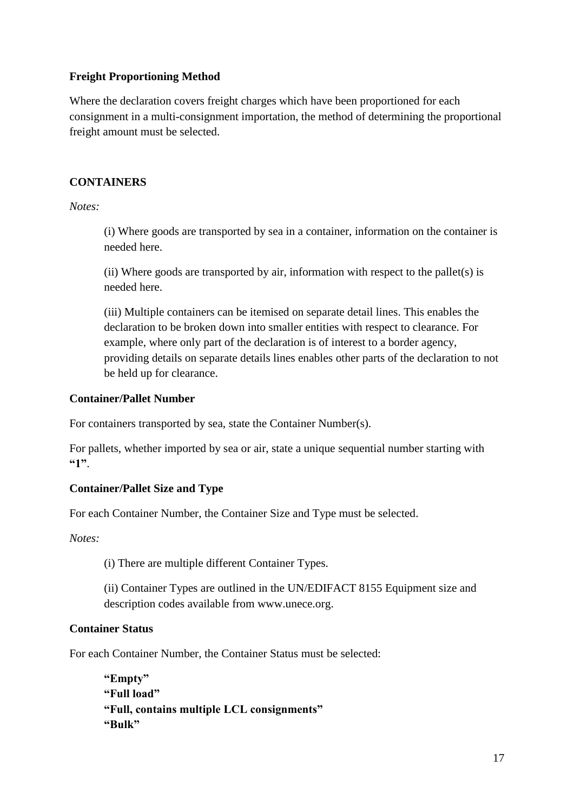### **Freight Proportioning Method**

Where the declaration covers freight charges which have been proportioned for each consignment in a multi-consignment importation, the method of determining the proportional freight amount must be selected.

### **CONTAINERS**

*Notes:*

(i) Where goods are transported by sea in a container, information on the container is needed here.

(ii) Where goods are transported by air, information with respect to the pallet(s) is needed here.

(iii) Multiple containers can be itemised on separate detail lines. This enables the declaration to be broken down into smaller entities with respect to clearance. For example, where only part of the declaration is of interest to a border agency, providing details on separate details lines enables other parts of the declaration to not be held up for clearance.

### **Container/Pallet Number**

For containers transported by sea, state the Container Number(s).

For pallets, whether imported by sea or air, state a unique sequential number starting with **"1"**.

### **Container/Pallet Size and Type**

For each Container Number, the Container Size and Type must be selected.

*Notes:*

(i) There are multiple different Container Types.

(ii) Container Types are outlined in the UN/EDIFACT 8155 Equipment size and description codes available from www.unece.org.

### **Container Status**

For each Container Number, the Container Status must be selected:

**"Empty" "Full load" "Full, contains multiple LCL consignments" "Bulk"**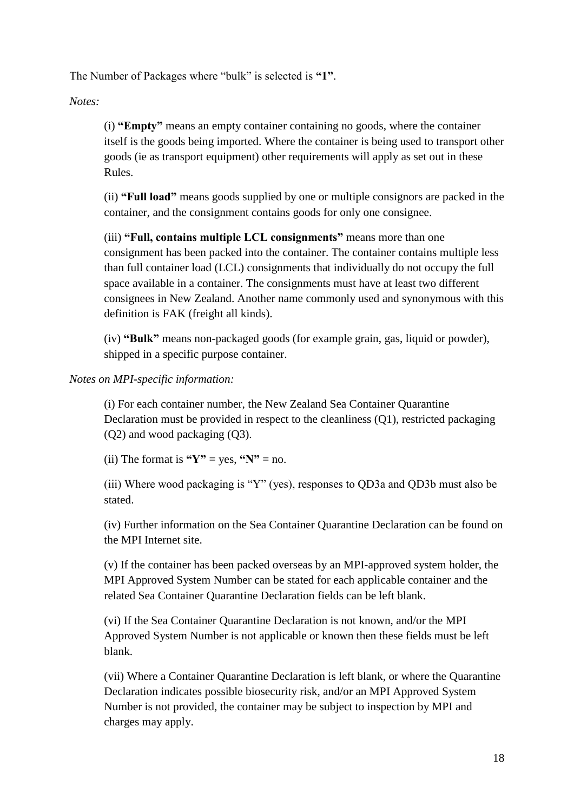The Number of Packages where "bulk" is selected is **"1"**.

*Notes:*

(i) **"Empty"** means an empty container containing no goods, where the container itself is the goods being imported. Where the container is being used to transport other goods (ie as transport equipment) other requirements will apply as set out in these Rules.

(ii) **"Full load"** means goods supplied by one or multiple consignors are packed in the container, and the consignment contains goods for only one consignee.

(iii) **"Full, contains multiple LCL consignments"** means more than one consignment has been packed into the container. The container contains multiple less than full container load (LCL) consignments that individually do not occupy the full space available in a container. The consignments must have at least two different consignees in New Zealand. Another name commonly used and synonymous with this definition is FAK (freight all kinds).

(iv) **"Bulk"** means non-packaged goods (for example grain, gas, liquid or powder), shipped in a specific purpose container.

*Notes on MPI-specific information:*

(i) For each container number, the New Zealand Sea Container Quarantine Declaration must be provided in respect to the cleanliness (Q1), restricted packaging (Q2) and wood packaging (Q3).

(ii) The format is  $\mathbf{Y''} = \mathbf{ves}$ ,  $\mathbf{Y''} = \mathbf{no}$ .

(iii) Where wood packaging is "Y" (yes), responses to QD3a and QD3b must also be stated.

(iv) Further information on the Sea Container Quarantine Declaration can be found on the MPI Internet site.

(v) If the container has been packed overseas by an MPI-approved system holder, the MPI Approved System Number can be stated for each applicable container and the related Sea Container Quarantine Declaration fields can be left blank.

(vi) If the Sea Container Quarantine Declaration is not known, and/or the MPI Approved System Number is not applicable or known then these fields must be left blank.

(vii) Where a Container Quarantine Declaration is left blank, or where the Quarantine Declaration indicates possible biosecurity risk, and/or an MPI Approved System Number is not provided, the container may be subject to inspection by MPI and charges may apply.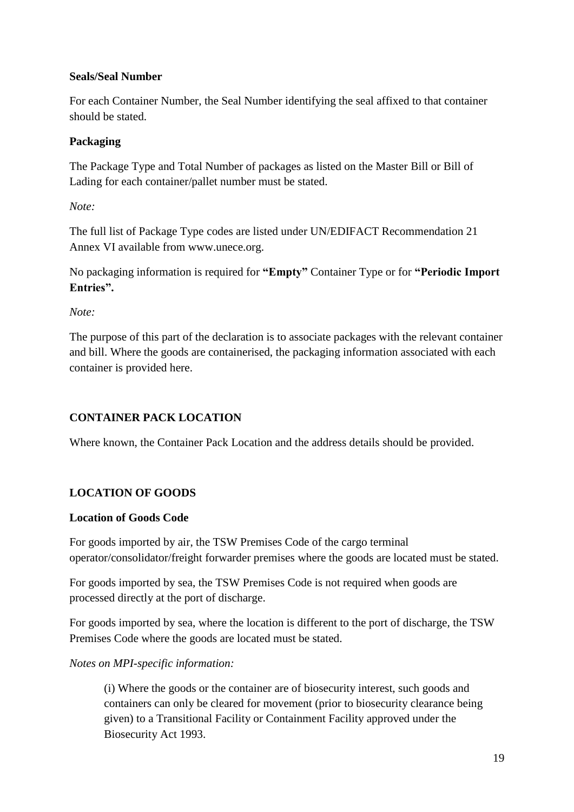### **Seals/Seal Number**

For each Container Number, the Seal Number identifying the seal affixed to that container should be stated.

### **Packaging**

The Package Type and Total Number of packages as listed on the Master Bill or Bill of Lading for each container/pallet number must be stated.

*Note:*

The full list of Package Type codes are listed under UN/EDIFACT Recommendation 21 Annex VI available from www.unece.org.

No packaging information is required for **"Empty"** Container Type or for **"Periodic Import Entries".**

*Note:*

The purpose of this part of the declaration is to associate packages with the relevant container and bill. Where the goods are containerised, the packaging information associated with each container is provided here.

### **CONTAINER PACK LOCATION**

Where known, the Container Pack Location and the address details should be provided.

### **LOCATION OF GOODS**

### **Location of Goods Code**

For goods imported by air, the TSW Premises Code of the cargo terminal operator/consolidator/freight forwarder premises where the goods are located must be stated.

For goods imported by sea, the TSW Premises Code is not required when goods are processed directly at the port of discharge.

For goods imported by sea, where the location is different to the port of discharge, the TSW Premises Code where the goods are located must be stated.

*Notes on MPI-specific information:*

(i) Where the goods or the container are of biosecurity interest, such goods and containers can only be cleared for movement (prior to biosecurity clearance being given) to a Transitional Facility or Containment Facility approved under the Biosecurity Act 1993.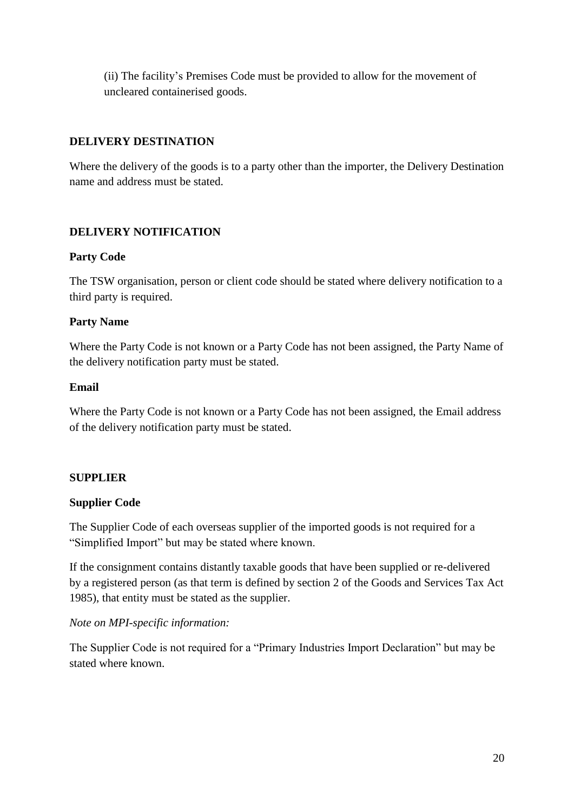(ii) The facility's Premises Code must be provided to allow for the movement of uncleared containerised goods.

#### **DELIVERY DESTINATION**

Where the delivery of the goods is to a party other than the importer, the Delivery Destination name and address must be stated.

### **DELIVERY NOTIFICATION**

#### **Party Code**

The TSW organisation, person or client code should be stated where delivery notification to a third party is required.

#### **Party Name**

Where the Party Code is not known or a Party Code has not been assigned, the Party Name of the delivery notification party must be stated.

#### **Email**

Where the Party Code is not known or a Party Code has not been assigned, the Email address of the delivery notification party must be stated.

### **SUPPLIER**

#### **Supplier Code**

The Supplier Code of each overseas supplier of the imported goods is not required for a "Simplified Import" but may be stated where known.

If the consignment contains distantly taxable goods that have been supplied or re-delivered by a registered person (as that term is defined by section 2 of the Goods and Services Tax Act 1985), that entity must be stated as the supplier.

#### *Note on MPI-specific information:*

The Supplier Code is not required for a "Primary Industries Import Declaration" but may be stated where known.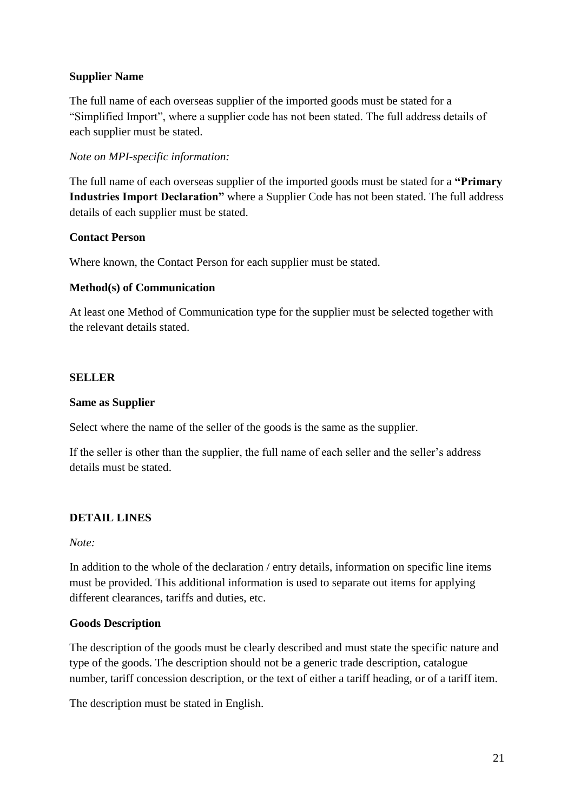### **Supplier Name**

The full name of each overseas supplier of the imported goods must be stated for a "Simplified Import", where a supplier code has not been stated. The full address details of each supplier must be stated.

*Note on MPI-specific information:*

The full name of each overseas supplier of the imported goods must be stated for a **"Primary Industries Import Declaration"** where a Supplier Code has not been stated. The full address details of each supplier must be stated.

### **Contact Person**

Where known, the Contact Person for each supplier must be stated.

### **Method(s) of Communication**

At least one Method of Communication type for the supplier must be selected together with the relevant details stated.

### **SELLER**

### **Same as Supplier**

Select where the name of the seller of the goods is the same as the supplier.

If the seller is other than the supplier, the full name of each seller and the seller's address details must be stated.

### **DETAIL LINES**

*Note:*

In addition to the whole of the declaration / entry details, information on specific line items must be provided. This additional information is used to separate out items for applying different clearances, tariffs and duties, etc.

### **Goods Description**

The description of the goods must be clearly described and must state the specific nature and type of the goods. The description should not be a generic trade description, catalogue number, tariff concession description, or the text of either a tariff heading, or of a tariff item.

The description must be stated in English.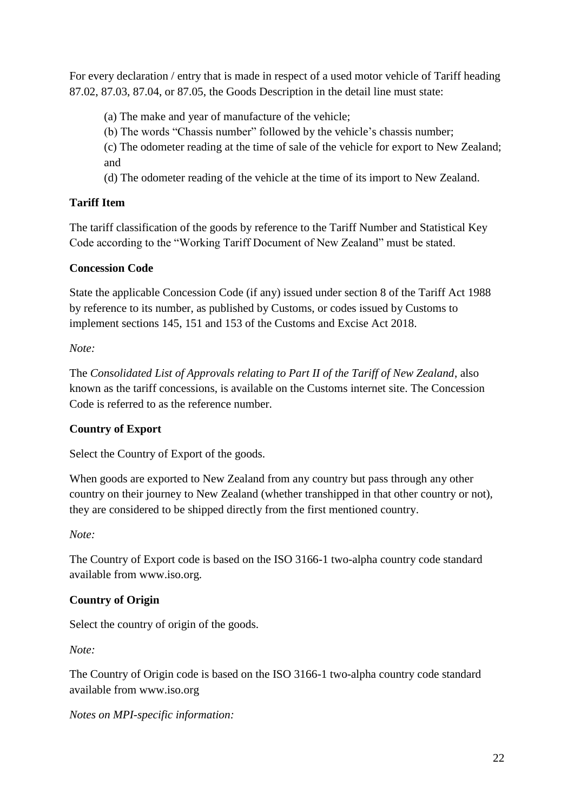For every declaration / entry that is made in respect of a used motor vehicle of Tariff heading 87.02, 87.03, 87.04, or 87.05, the Goods Description in the detail line must state:

- (a) The make and year of manufacture of the vehicle;
- (b) The words "Chassis number" followed by the vehicle's chassis number;
- (c) The odometer reading at the time of sale of the vehicle for export to New Zealand; and
- (d) The odometer reading of the vehicle at the time of its import to New Zealand.

### **Tariff Item**

The tariff classification of the goods by reference to the Tariff Number and Statistical Key Code according to the "Working Tariff Document of New Zealand" must be stated.

### **Concession Code**

State the applicable Concession Code (if any) issued under section 8 of the Tariff Act 1988 by reference to its number, as published by Customs, or codes issued by Customs to implement sections 145, 151 and 153 of the Customs and Excise Act 2018.

### *Note:*

The *Consolidated List of Approvals relating to Part II of the Tariff of New Zealand*, also known as the tariff concessions, is available on the Customs internet site. The Concession Code is referred to as the reference number.

### **Country of Export**

Select the Country of Export of the goods.

When goods are exported to New Zealand from any country but pass through any other country on their journey to New Zealand (whether transhipped in that other country or not), they are considered to be shipped directly from the first mentioned country.

### *Note:*

The Country of Export code is based on the ISO 3166-1 two-alpha country code standard available from www.iso.org.

### **Country of Origin**

Select the country of origin of the goods.

*Note:*

The Country of Origin code is based on the ISO 3166-1 two-alpha country code standard available from www.iso.org

*Notes on MPI-specific information:*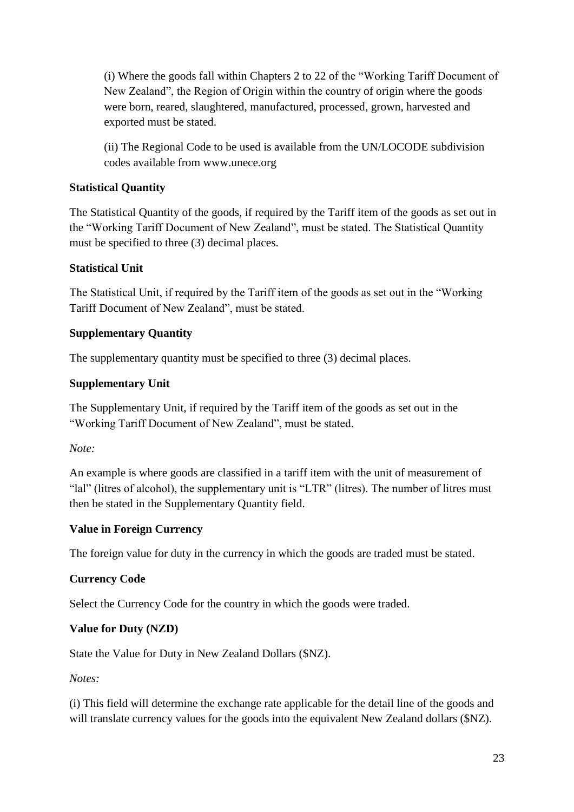(i) Where the goods fall within Chapters 2 to 22 of the "Working Tariff Document of New Zealand", the Region of Origin within the country of origin where the goods were born, reared, slaughtered, manufactured, processed, grown, harvested and exported must be stated.

(ii) The Regional Code to be used is available from the UN/LOCODE subdivision codes available from www.unece.org

### **Statistical Quantity**

The Statistical Quantity of the goods, if required by the Tariff item of the goods as set out in the "Working Tariff Document of New Zealand", must be stated. The Statistical Quantity must be specified to three (3) decimal places.

### **Statistical Unit**

The Statistical Unit, if required by the Tariff item of the goods as set out in the "Working Tariff Document of New Zealand", must be stated.

### **Supplementary Quantity**

The supplementary quantity must be specified to three (3) decimal places.

### **Supplementary Unit**

The Supplementary Unit, if required by the Tariff item of the goods as set out in the "Working Tariff Document of New Zealand", must be stated.

### *Note:*

An example is where goods are classified in a tariff item with the unit of measurement of "lal" (litres of alcohol), the supplementary unit is "LTR" (litres). The number of litres must then be stated in the Supplementary Quantity field.

### **Value in Foreign Currency**

The foreign value for duty in the currency in which the goods are traded must be stated.

### **Currency Code**

Select the Currency Code for the country in which the goods were traded.

### **Value for Duty (NZD)**

State the Value for Duty in New Zealand Dollars (\$NZ).

### *Notes:*

(i) This field will determine the exchange rate applicable for the detail line of the goods and will translate currency values for the goods into the equivalent New Zealand dollars (\$NZ).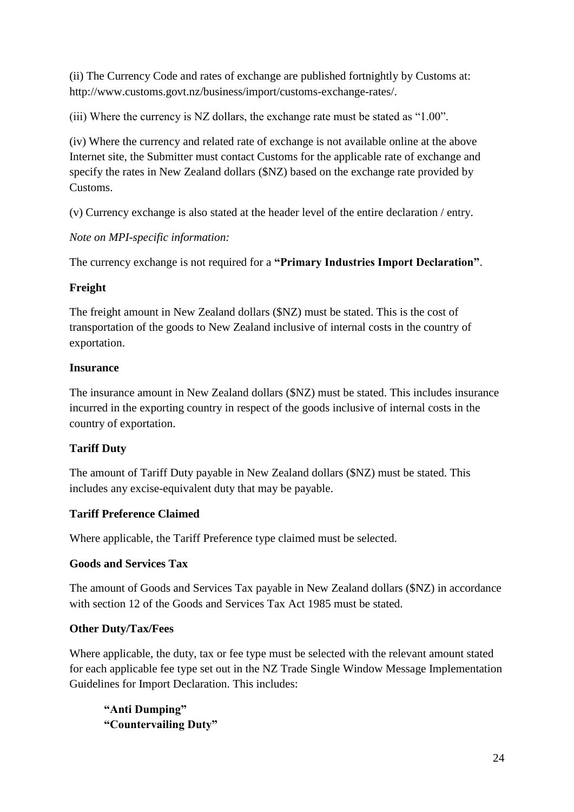(ii) The Currency Code and rates of exchange are published fortnightly by Customs at: http://www.customs.govt.nz/business/import/customs-exchange-rates/.

(iii) Where the currency is NZ dollars, the exchange rate must be stated as "1.00".

(iv) Where the currency and related rate of exchange is not available online at the above Internet site, the Submitter must contact Customs for the applicable rate of exchange and specify the rates in New Zealand dollars (\$NZ) based on the exchange rate provided by Customs.

(v) Currency exchange is also stated at the header level of the entire declaration / entry.

*Note on MPI-specific information:*

The currency exchange is not required for a **"Primary Industries Import Declaration"**.

### **Freight**

The freight amount in New Zealand dollars (\$NZ) must be stated. This is the cost of transportation of the goods to New Zealand inclusive of internal costs in the country of exportation.

### **Insurance**

The insurance amount in New Zealand dollars (\$NZ) must be stated. This includes insurance incurred in the exporting country in respect of the goods inclusive of internal costs in the country of exportation.

### **Tariff Duty**

The amount of Tariff Duty payable in New Zealand dollars (\$NZ) must be stated. This includes any excise-equivalent duty that may be payable.

### **Tariff Preference Claimed**

Where applicable, the Tariff Preference type claimed must be selected.

### **Goods and Services Tax**

The amount of Goods and Services Tax payable in New Zealand dollars (\$NZ) in accordance with section 12 of the Goods and Services Tax Act 1985 must be stated.

### **Other Duty/Tax/Fees**

Where applicable, the duty, tax or fee type must be selected with the relevant amount stated for each applicable fee type set out in the NZ Trade Single Window Message Implementation Guidelines for Import Declaration. This includes:

**"Anti Dumping" "Countervailing Duty"**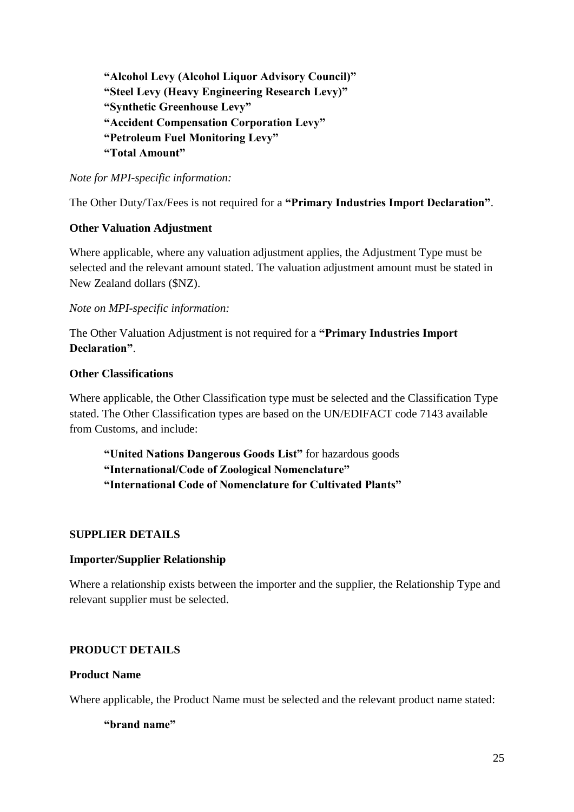**"Alcohol Levy (Alcohol Liquor Advisory Council)" "Steel Levy (Heavy Engineering Research Levy)" "Synthetic Greenhouse Levy" "Accident Compensation Corporation Levy" "Petroleum Fuel Monitoring Levy" "Total Amount"**

*Note for MPI-specific information:*

The Other Duty/Tax/Fees is not required for a **"Primary Industries Import Declaration"**.

### **Other Valuation Adjustment**

Where applicable, where any valuation adjustment applies, the Adjustment Type must be selected and the relevant amount stated. The valuation adjustment amount must be stated in New Zealand dollars (\$NZ).

### *Note on MPI-specific information:*

The Other Valuation Adjustment is not required for a **"Primary Industries Import Declaration"**.

### **Other Classifications**

Where applicable, the Other Classification type must be selected and the Classification Type stated. The Other Classification types are based on the UN/EDIFACT code 7143 available from Customs, and include:

**"United Nations Dangerous Goods List"** for hazardous goods **"International/Code of Zoological Nomenclature" "International Code of Nomenclature for Cultivated Plants"**

### **SUPPLIER DETAILS**

### **Importer/Supplier Relationship**

Where a relationship exists between the importer and the supplier, the Relationship Type and relevant supplier must be selected.

### **PRODUCT DETAILS**

### **Product Name**

Where applicable, the Product Name must be selected and the relevant product name stated:

### **"brand name"**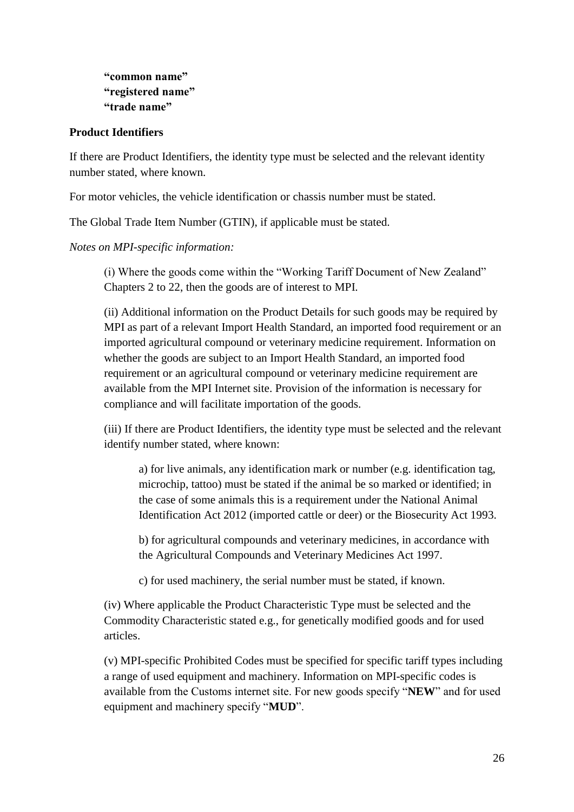**"common name" "registered name" "trade name"**

### **Product Identifiers**

If there are Product Identifiers, the identity type must be selected and the relevant identity number stated, where known.

For motor vehicles, the vehicle identification or chassis number must be stated.

The Global Trade Item Number (GTIN), if applicable must be stated.

#### *Notes on MPI-specific information:*

(i) Where the goods come within the "Working Tariff Document of New Zealand" Chapters 2 to 22, then the goods are of interest to MPI.

(ii) Additional information on the Product Details for such goods may be required by MPI as part of a relevant Import Health Standard, an imported food requirement or an imported agricultural compound or veterinary medicine requirement. Information on whether the goods are subject to an Import Health Standard, an imported food requirement or an agricultural compound or veterinary medicine requirement are available from the MPI Internet site. Provision of the information is necessary for compliance and will facilitate importation of the goods.

(iii) If there are Product Identifiers, the identity type must be selected and the relevant identify number stated, where known:

a) for live animals, any identification mark or number (e.g. identification tag, microchip, tattoo) must be stated if the animal be so marked or identified; in the case of some animals this is a requirement under the National Animal Identification Act 2012 (imported cattle or deer) or the Biosecurity Act 1993.

b) for agricultural compounds and veterinary medicines, in accordance with the Agricultural Compounds and Veterinary Medicines Act 1997.

c) for used machinery, the serial number must be stated, if known.

(iv) Where applicable the Product Characteristic Type must be selected and the Commodity Characteristic stated e.g., for genetically modified goods and for used articles.

(v) MPI-specific Prohibited Codes must be specified for specific tariff types including a range of used equipment and machinery. Information on MPI-specific codes is available from the Customs internet site. For new goods specify "**NEW**" and for used equipment and machinery specify "**MUD**".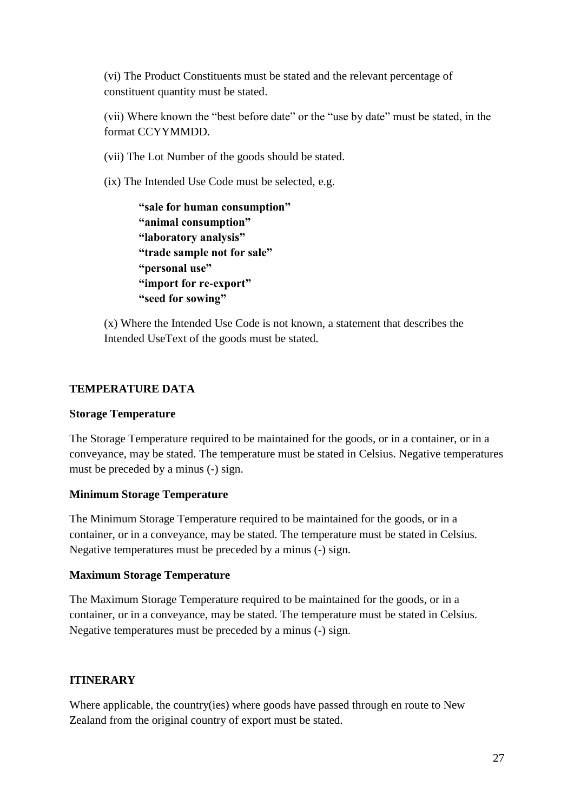(vi) The Product Constituents must be stated and the relevant percentage of constituent quantity must be stated.

(vii) Where known the "best before date" or the "use by date" must be stated, in the format CCYYMMDD.

(vii) The Lot Number of the goods should be stated.

(ix) The Intended Use Code must be selected, e.g.

**"sale for human consumption" "animal consumption" "laboratory analysis" "trade sample not for sale" "personal use" "import for re-export" "seed for sowing"**

(x) Where the Intended Use Code is not known, a statement that describes the Intended UseText of the goods must be stated.

### **TEMPERATURE DATA**

#### **Storage Temperature**

The Storage Temperature required to be maintained for the goods, or in a container, or in a conveyance, may be stated. The temperature must be stated in Celsius. Negative temperatures must be preceded by a minus (-) sign.

### **Minimum Storage Temperature**

The Minimum Storage Temperature required to be maintained for the goods, or in a container, or in a conveyance, may be stated. The temperature must be stated in Celsius. Negative temperatures must be preceded by a minus (-) sign.

### **Maximum Storage Temperature**

The Maximum Storage Temperature required to be maintained for the goods, or in a container, or in a conveyance, may be stated. The temperature must be stated in Celsius. Negative temperatures must be preceded by a minus (-) sign.

### **ITINERARY**

Where applicable, the country(ies) where goods have passed through en route to New Zealand from the original country of export must be stated.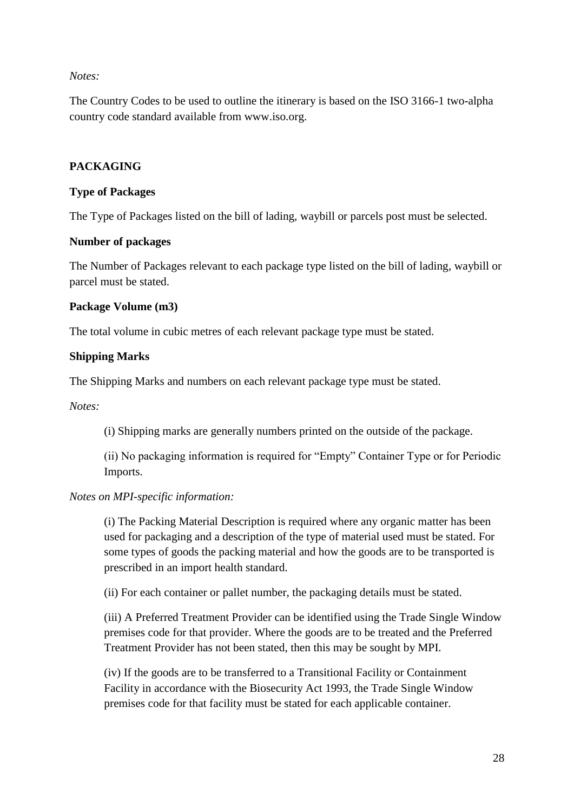#### *Notes:*

The Country Codes to be used to outline the itinerary is based on the ISO 3166-1 two-alpha country code standard available from www.iso.org.

### **PACKAGING**

### **Type of Packages**

The Type of Packages listed on the bill of lading, waybill or parcels post must be selected.

### **Number of packages**

The Number of Packages relevant to each package type listed on the bill of lading, waybill or parcel must be stated.

### **Package Volume (m3)**

The total volume in cubic metres of each relevant package type must be stated.

### **Shipping Marks**

The Shipping Marks and numbers on each relevant package type must be stated.

*Notes:*

(i) Shipping marks are generally numbers printed on the outside of the package.

(ii) No packaging information is required for "Empty" Container Type or for Periodic Imports.

### *Notes on MPI-specific information:*

(i) The Packing Material Description is required where any organic matter has been used for packaging and a description of the type of material used must be stated. For some types of goods the packing material and how the goods are to be transported is prescribed in an import health standard.

(ii) For each container or pallet number, the packaging details must be stated.

(iii) A Preferred Treatment Provider can be identified using the Trade Single Window premises code for that provider. Where the goods are to be treated and the Preferred Treatment Provider has not been stated, then this may be sought by MPI.

(iv) If the goods are to be transferred to a Transitional Facility or Containment Facility in accordance with the Biosecurity Act 1993, the Trade Single Window premises code for that facility must be stated for each applicable container.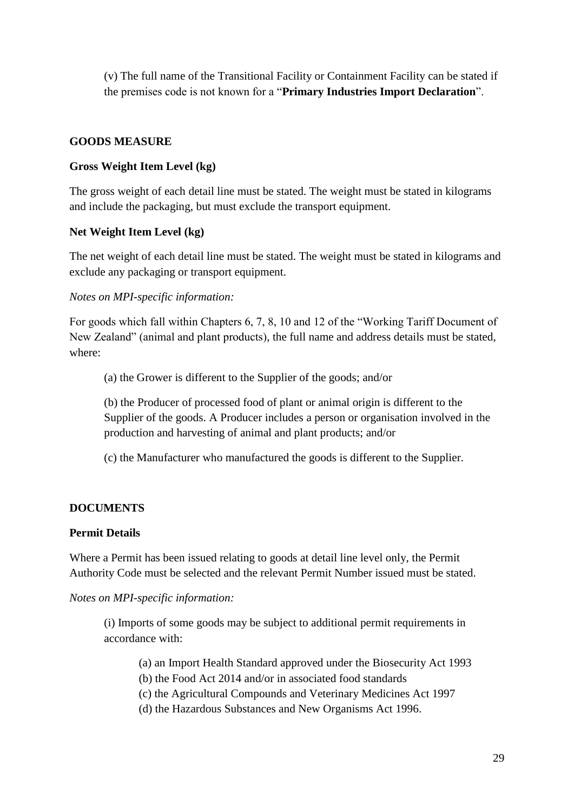(v) The full name of the Transitional Facility or Containment Facility can be stated if the premises code is not known for a "**Primary Industries Import Declaration**".

### **GOODS MEASURE**

#### **Gross Weight Item Level (kg)**

The gross weight of each detail line must be stated. The weight must be stated in kilograms and include the packaging, but must exclude the transport equipment.

#### **Net Weight Item Level (kg)**

The net weight of each detail line must be stated. The weight must be stated in kilograms and exclude any packaging or transport equipment.

#### *Notes on MPI-specific information:*

For goods which fall within Chapters 6, 7, 8, 10 and 12 of the "Working Tariff Document of New Zealand" (animal and plant products), the full name and address details must be stated, where:

(a) the Grower is different to the Supplier of the goods; and/or

(b) the Producer of processed food of plant or animal origin is different to the Supplier of the goods. A Producer includes a person or organisation involved in the production and harvesting of animal and plant products; and/or

(c) the Manufacturer who manufactured the goods is different to the Supplier.

#### **DOCUMENTS**

#### **Permit Details**

Where a Permit has been issued relating to goods at detail line level only, the Permit Authority Code must be selected and the relevant Permit Number issued must be stated.

*Notes on MPI-specific information:*

(i) Imports of some goods may be subject to additional permit requirements in accordance with:

- (a) an Import Health Standard approved under the Biosecurity Act 1993
- (b) the Food Act 2014 and/or in associated food standards
- (c) the Agricultural Compounds and Veterinary Medicines Act 1997
- (d) the Hazardous Substances and New Organisms Act 1996.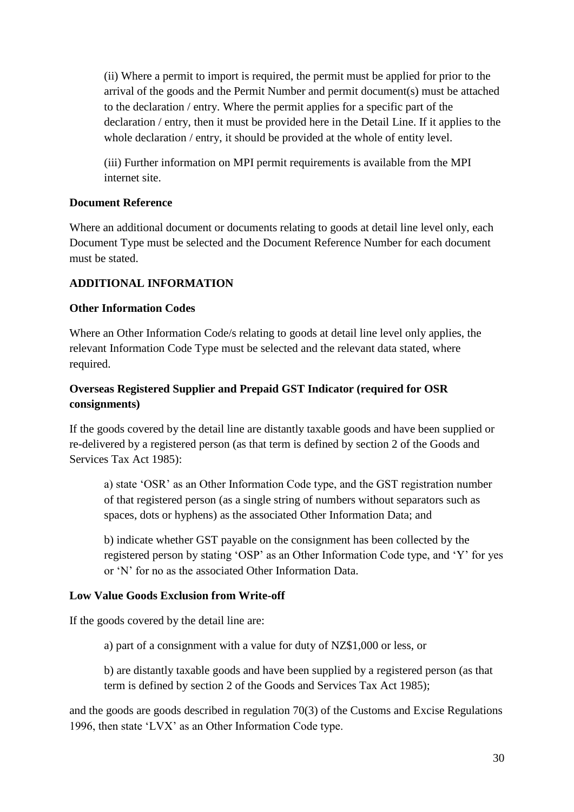(ii) Where a permit to import is required, the permit must be applied for prior to the arrival of the goods and the Permit Number and permit document(s) must be attached to the declaration / entry. Where the permit applies for a specific part of the declaration / entry, then it must be provided here in the Detail Line. If it applies to the whole declaration / entry, it should be provided at the whole of entity level.

(iii) Further information on MPI permit requirements is available from the MPI internet site.

### **Document Reference**

Where an additional document or documents relating to goods at detail line level only, each Document Type must be selected and the Document Reference Number for each document must be stated.

### **ADDITIONAL INFORMATION**

### **Other Information Codes**

Where an Other Information Code/s relating to goods at detail line level only applies, the relevant Information Code Type must be selected and the relevant data stated, where required.

### **Overseas Registered Supplier and Prepaid GST Indicator (required for OSR consignments)**

If the goods covered by the detail line are distantly taxable goods and have been supplied or re-delivered by a registered person (as that term is defined by section 2 of the Goods and Services Tax Act 1985):

a) state 'OSR' as an Other Information Code type, and the GST registration number of that registered person (as a single string of numbers without separators such as spaces, dots or hyphens) as the associated Other Information Data; and

b) indicate whether GST payable on the consignment has been collected by the registered person by stating 'OSP' as an Other Information Code type, and 'Y' for yes or 'N' for no as the associated Other Information Data.

### **Low Value Goods Exclusion from Write-off**

If the goods covered by the detail line are:

a) part of a consignment with a value for duty of NZ\$1,000 or less, or

b) are distantly taxable goods and have been supplied by a registered person (as that term is defined by section 2 of the Goods and Services Tax Act 1985);

and the goods are goods described in regulation 70(3) of the Customs and Excise Regulations 1996, then state 'LVX' as an Other Information Code type.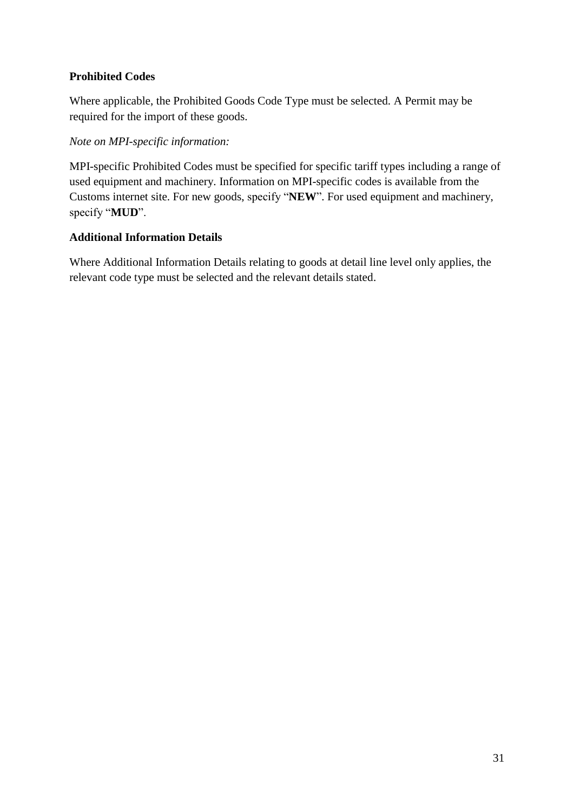### **Prohibited Codes**

Where applicable, the Prohibited Goods Code Type must be selected. A Permit may be required for the import of these goods.

*Note on MPI-specific information:*

MPI-specific Prohibited Codes must be specified for specific tariff types including a range of used equipment and machinery. Information on MPI-specific codes is available from the Customs internet site. For new goods, specify "**NEW**". For used equipment and machinery, specify "**MUD**".

### **Additional Information Details**

Where Additional Information Details relating to goods at detail line level only applies, the relevant code type must be selected and the relevant details stated.